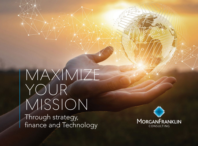MAXIMIZE YOUR MISSION Through strategy, finance and Technology

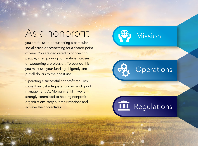# As a nonprofit,

you are focused on furthering a particular social cause or advocating for a shared point of view. You are dedicated to connecting people, championing humanitarian causes, or supporting a profession. To best do this, you must use your funding diligently and put all dollars to their best use.

Operating a successful nonprofit requires more than just adequate funding and good management. At MorganFranklin, we're strongly committed to helping nonprofit organizations carry out their missions and achieve their objectives.





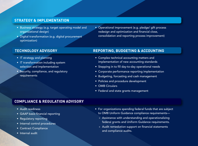## **STRATEGY & IMPLEMENTATION**

- Business strategy (e.g. target operating model and organizational design)
- Digital transformation (e.g. digital procurement optimization)
- Operational improvement (e.g. pledge/ gift process redesign and optimization and financial close, consolidation and reporting process improvement)

#### **TECHNOLOGY ADVISORY**

- IT strategy and planning
- IT transformation including system selection and implementation
- Security, compliance, and regulatory requirements

# **REPORTING, BUDGETING & ACCOUNTING**

- Complex technical accounting matters and implementation of new accounting standards
- Stepping in to fill day-to-day operational needs
- Corporate performance reporting implementation
- Budgeting, forcasting and cash management
- Policies and procedure development
- OMB Circulars
- Federal and state grants management

## **COMPLIANCE & REGULATION ADVISORY**

- Audit readiness
- GAAP basis financial reporting
- Regulatory reporting
- Internal control procedures
- Contract Compliance
- Internal audit
- For organizations spending federal funds that are subject to OMB Uniform Guidance compliance requirements—
	- » Assistance with understanding and operationalizing federal grants and Uniform Guidance requirements.
	- » Audit remediation support on financial statements and compliance audits.